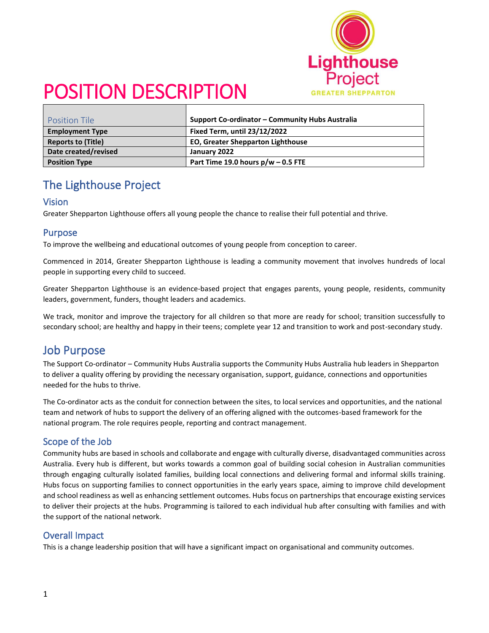

| <b>Position Tile</b>      | Support Co-ordinator – Community Hubs Australia |  |  |
|---------------------------|-------------------------------------------------|--|--|
| <b>Employment Type</b>    | <b>Fixed Term, until 23/12/2022</b>             |  |  |
| <b>Reports to (Title)</b> | <b>EO, Greater Shepparton Lighthouse</b>        |  |  |
| Date created/revised      | January 2022                                    |  |  |
| <b>Position Type</b>      | Part Time 19.0 hours $p/w - 0.5$ FTE            |  |  |

## The Lighthouse Project

#### Vision

Greater Shepparton Lighthouse offers all young people the chance to realise their full potential and thrive.

#### Purpose

To improve the wellbeing and educational outcomes of young people from conception to career.

Commenced in 2014, Greater Shepparton Lighthouse is leading a community movement that involves hundreds of local people in supporting every child to succeed.

Greater Shepparton Lighthouse is an evidence-based project that engages parents, young people, residents, community leaders, government, funders, thought leaders and academics.

We track, monitor and improve the trajectory for all children so that more are ready for school; transition successfully to secondary school; are healthy and happy in their teens; complete year 12 and transition to work and post-secondary study.

### Job Purpose

The Support Co-ordinator – Community Hubs Australia supports the Community Hubs Australia hub leaders in Shepparton to deliver a quality offering by providing the necessary organisation, support, guidance, connections and opportunities needed for the hubs to thrive.

The Co-ordinator acts as the conduit for connection between the sites, to local services and opportunities, and the national team and network of hubs to support the delivery of an offering aligned with the outcomes-based framework for the national program. The role requires people, reporting and contract management.

#### Scope of the Job

Community hubs are based in schools and collaborate and engage with culturally diverse, disadvantaged communities across Australia. Every hub is different, but works towards a common goal of building social cohesion in Australian communities through engaging culturally isolated families, building local connections and delivering formal and informal skills training. Hubs focus on supporting families to connect opportunities in the early years space, aiming to improve child development and school readiness as well as enhancing settlement outcomes. Hubs focus on partnerships that encourage existing services to deliver their projects at the hubs. Programming is tailored to each individual hub after consulting with families and with the support of the national network.

#### Overall Impact

This is a change leadership position that will have a significant impact on organisational and community outcomes.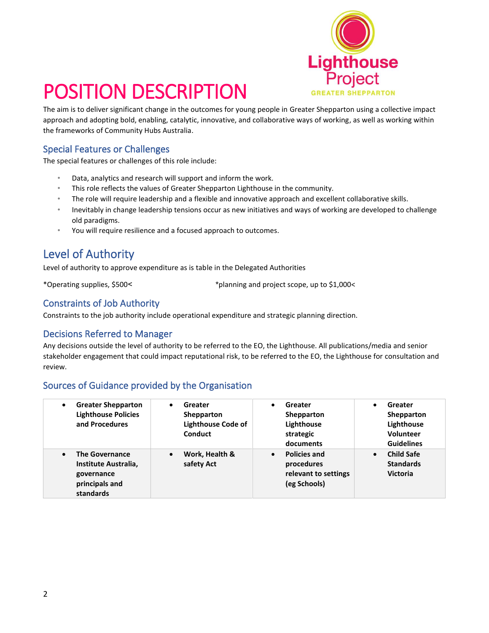

The aim is to deliver significant change in the outcomes for young people in Greater Shepparton using a collective impact approach and adopting bold, enabling, catalytic, innovative, and collaborative ways of working, as well as working within the frameworks of Community Hubs Australia.

#### Special Features or Challenges

The special features or challenges of this role include:

- Data, analytics and research will support and inform the work.
- This role reflects the values of Greater Shepparton Lighthouse in the community.
- The role will require leadership and a flexible and innovative approach and excellent collaborative skills.
- Inevitably in change leadership tensions occur as new initiatives and ways of working are developed to challenge old paradigms.
- You will require resilience and a focused approach to outcomes.

## Level of Authority

Level of authority to approve expenditure as is table in the Delegated Authorities

\*Operating supplies, \$500˂ \*planning and project scope, up to \$1,000<

#### Constraints of Job Authority

Constraints to the job authority include operational expenditure and strategic planning direction.

#### Decisions Referred to Manager

Any decisions outside the level of authority to be referred to the EO, the Lighthouse. All publications/media and senior stakeholder engagement that could impact reputational risk, to be referred to the EO, the Lighthouse for consultation and review.

#### Sources of Guidance provided by the Organisation

| <b>Greater Shepparton</b><br>$\bullet$<br><b>Lighthouse Policies</b><br>and Procedures                  | Greater<br>$\bullet$<br>Shepparton<br><b>Lighthouse Code of</b><br><b>Conduct</b> | Greater<br>$\bullet$<br>Shepparton<br>Lighthouse<br>strategic<br>documents             | Greater<br>Shepparton<br>Lighthouse<br><b>Volunteer</b><br><b>Guidelines</b> |
|---------------------------------------------------------------------------------------------------------|-----------------------------------------------------------------------------------|----------------------------------------------------------------------------------------|------------------------------------------------------------------------------|
| <b>The Governance</b><br>$\bullet$<br>Institute Australia,<br>governance<br>principals and<br>standards | Work, Health &<br>$\bullet$<br>safety Act                                         | <b>Policies and</b><br>$\bullet$<br>procedures<br>relevant to settings<br>(eg Schools) | <b>Child Safe</b><br>$\bullet$<br><b>Standards</b><br><b>Victoria</b>        |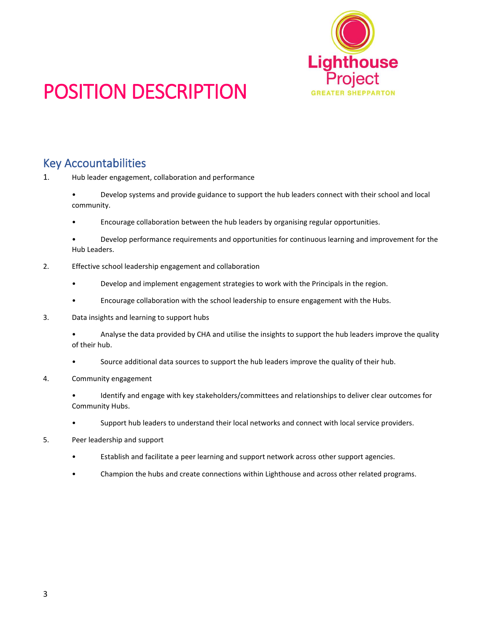

## Key Accountabilities

1. Hub leader engagement, collaboration and performance

- Develop systems and provide guidance to support the hub leaders connect with their school and local community.
- Encourage collaboration between the hub leaders by organising regular opportunities.
- Develop performance requirements and opportunities for continuous learning and improvement for the Hub Leaders.
- 2. Effective school leadership engagement and collaboration
	- Develop and implement engagement strategies to work with the Principals in the region.
	- Encourage collaboration with the school leadership to ensure engagement with the Hubs.
- 3. Data insights and learning to support hubs
	- Analyse the data provided by CHA and utilise the insights to support the hub leaders improve the quality of their hub.
	- Source additional data sources to support the hub leaders improve the quality of their hub.
- 4. Community engagement
	- Identify and engage with key stakeholders/committees and relationships to deliver clear outcomes for Community Hubs.
	- Support hub leaders to understand their local networks and connect with local service providers.
- 5. Peer leadership and support
	- Establish and facilitate a peer learning and support network across other support agencies.
	- Champion the hubs and create connections within Lighthouse and across other related programs.